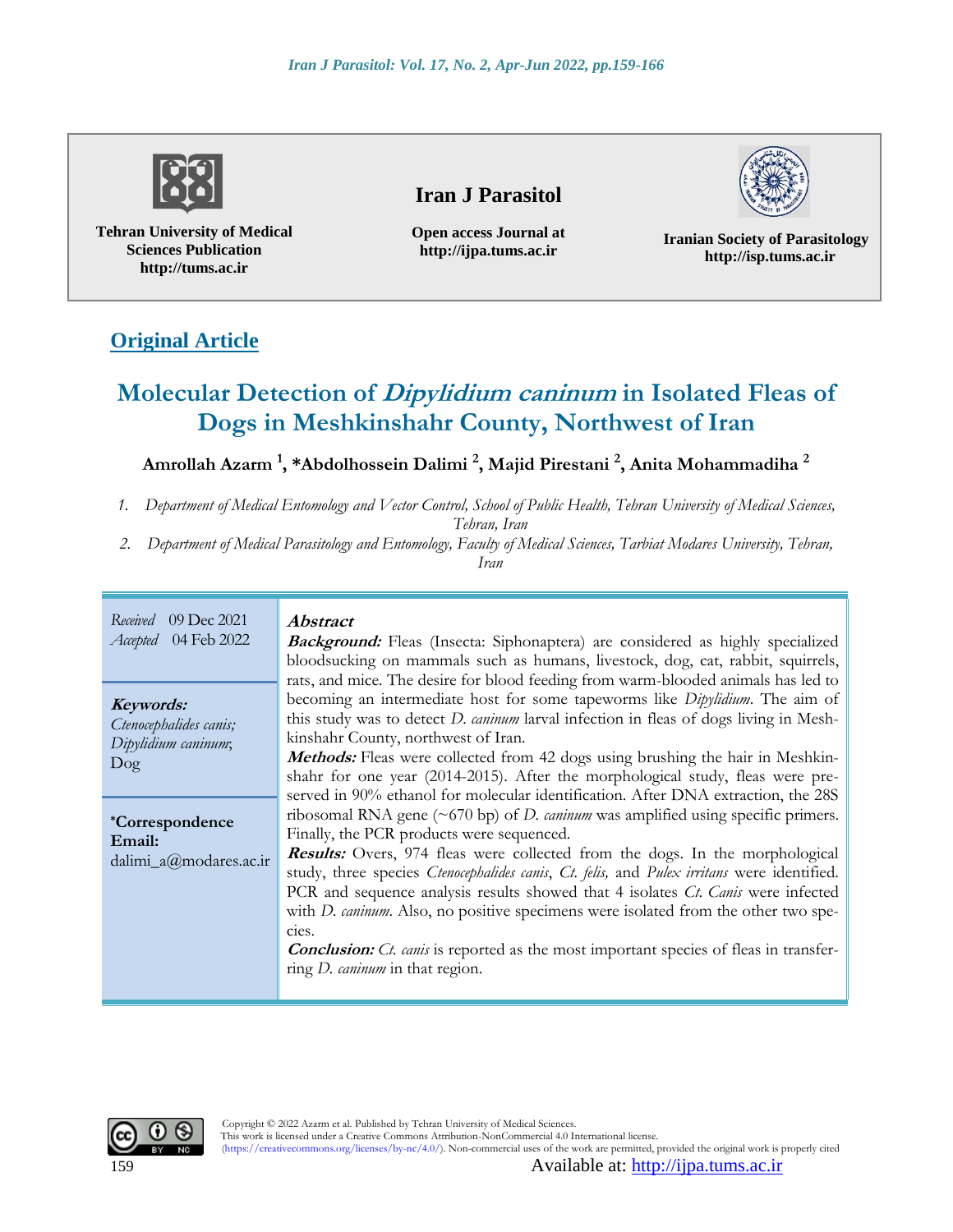

**Tehran University of Medical Sciences Publication http://tums.ac.ir**

## **Iran J Parasitol**

**Open access Journal at http://ijpa.tums.ac.ir**

**Iranian Society of Parasitology http://isp.tums.ac.ir**

# **Original Article**

# **Molecular Detection of Dipylidium caninum in Isolated Fleas of Dogs in Meshkinshahr County, Northwest of Iran**

### **Amrollah Azarm <sup>1</sup> , \*Abdolhossein Dalimi <sup>2</sup> , Majid Pirestani <sup>2</sup> , Anita Mohammadiha <sup>2</sup>**

*1. Department of Medical Entomology and Vector Control, School of Public Health, Tehran University of Medical Sciences,* 

*Tehran, Iran*

*2. Department of Medical Parasitology and Entomology, Faculty of Medical Sciences, Tarbiat Modares University, Tehran,* 

*Iran*

| Received 09 Dec 2021<br><i>Accepted</i> 04 Feb 2022                  | <i>Abstract</i><br><b>Background:</b> Fleas (Insecta: Siphonaptera) are considered as highly specialized<br>bloodsucking on mammals such as humans, livestock, dog, cat, rabbit, squirrels,<br>rats, and mice. The desire for blood feeding from warm-blooded animals has led to                                                                                                                                                                                                                                                                                                                                                                                                                                                                                 |  |  |  |  |
|----------------------------------------------------------------------|------------------------------------------------------------------------------------------------------------------------------------------------------------------------------------------------------------------------------------------------------------------------------------------------------------------------------------------------------------------------------------------------------------------------------------------------------------------------------------------------------------------------------------------------------------------------------------------------------------------------------------------------------------------------------------------------------------------------------------------------------------------|--|--|--|--|
| Keywords:<br>Ctenocephalides canis;<br>Dipylidium caninum;<br>$\log$ | becoming an intermediate host for some tapeworms like <i>Dipylidium</i> . The aim of<br>this study was to detect <i>D. caninum</i> larval infection in fleas of dogs living in Mesh-<br>kinshahr County, northwest of Iran.<br><b>Methods:</b> Fleas were collected from 42 dogs using brushing the hair in Meshkin-<br>shahr for one year (2014-2015). After the morphological study, fleas were pre-                                                                                                                                                                                                                                                                                                                                                           |  |  |  |  |
| <i>*Correspondence</i><br>Email:<br>dalimi_a@modares.ac.ir           | served in 90% ethanol for molecular identification. After DNA extraction, the 28S<br>ribosomal RNA gene $(\sim 670 \text{ bp})$ of <i>D. caninum</i> was amplified using specific primers.<br>Finally, the PCR products were sequenced.<br>Results: Overs, 974 fleas were collected from the dogs. In the morphological<br>study, three species Ctenocephalides canis, Ct. felis, and Pulex irritans were identified.<br>PCR and sequence analysis results showed that 4 isolates <i>Ct. Canis</i> were infected<br>with <i>D. cannum</i> . Also, no positive specimens were isolated from the other two spe-<br>cies.<br><b>Conclusion:</b> Ct. canis is reported as the most important species of fleas in transfer-<br>ring <i>D. caninum</i> in that region. |  |  |  |  |

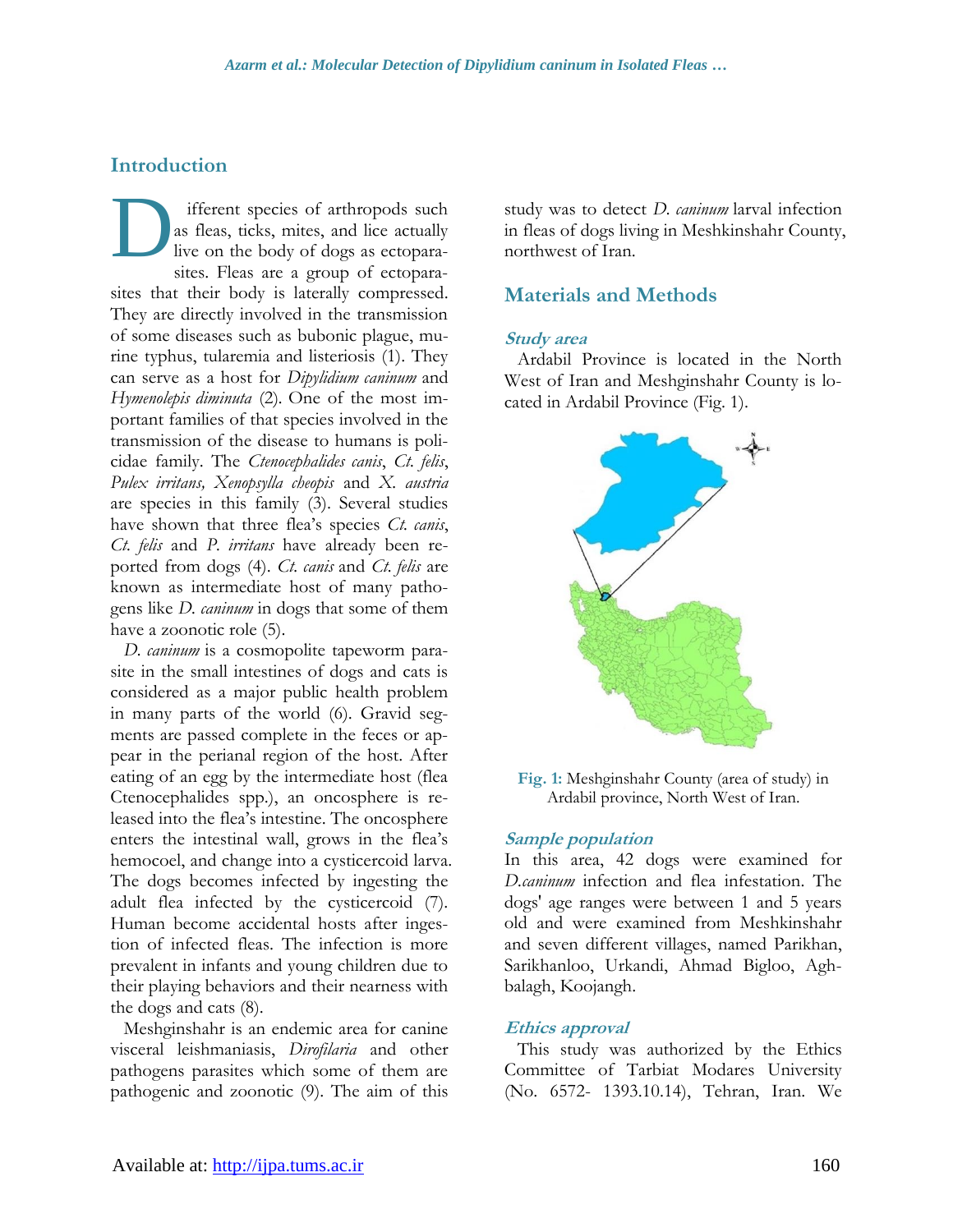### **Introduction**

ifferent species of arthropods such as fleas, ticks, mites, and lice actually live on the body of dogs as ectoparasites. Fleas are a group of ectoparasites that their body is laterally compressed. They are directly involved in the transmission of some diseases such as bubonic plague, murine typhus, tularemia and listeriosis (1). They can serve as a host for *Dipylidium caninum* and *Hymenolepis diminuta* (2)*.* One of the most important families of that species involved in the transmission of the disease to humans is policidae family. The *Ctenocephalides canis*, *Ct. felis*, *Pulex irritans, Xenopsylla cheopis* and *X. austria* are species in this family (3). Several studies have shown that three flea's species *Ct. canis*, *Ct. felis* and *P. irritans* have already been reported from dogs (4). *Ct. canis* and *Ct. felis* are known as intermediate host of many pathogens like *D. caninum* in dogs that some of them have a zoonotic role (5). D

*D. caninum* is a cosmopolite tapeworm parasite in the small intestines of dogs and cats is considered as a major public health problem in many parts of the world (6). Gravid segments are passed complete in the feces or appear in the perianal region of the host. After eating of an egg by the intermediate host (flea Ctenocephalides spp.), an oncosphere is released into the flea's intestine. The oncosphere enters the intestinal wall, grows in the flea's hemocoel, and change into a cysticercoid larva. The dogs becomes infected by ingesting the adult flea infected by the cysticercoid (7). Human become accidental hosts after ingestion of infected fleas. The infection is more prevalent in infants and young children due to their playing behaviors and their nearness with the dogs and cats (8).

Meshginshahr is an endemic area for canine visceral leishmaniasis, *Dirofilaria* and other pathogens parasites which some of them are pathogenic and zoonotic (9). The aim of this study was to detect *D. caninum* larval infection in fleas of dogs living in Meshkinshahr County, northwest of Iran.

### **Materials and Methods**

#### **Study area**

Ardabil Province is located in the North West of Iran and Meshginshahr County is located in Ardabil Province (Fig. 1).



**Fig. 1:** Meshginshahr County (area of study) in Ardabil province, North West of Iran.

#### **Sample population**

In this area, 42 dogs were examined for *D.caninum* infection and flea infestation. The dogs' age ranges were between 1 and 5 years old and were examined from Meshkinshahr and seven different villages, named Parikhan, Sarikhanloo, Urkandi, Ahmad Bigloo, Aghbalagh, Koojangh.

#### **Ethics approval**

This study was authorized by the Ethics Committee of Tarbiat Modares University (No. 6572- 1393.10.14), Tehran, Iran. We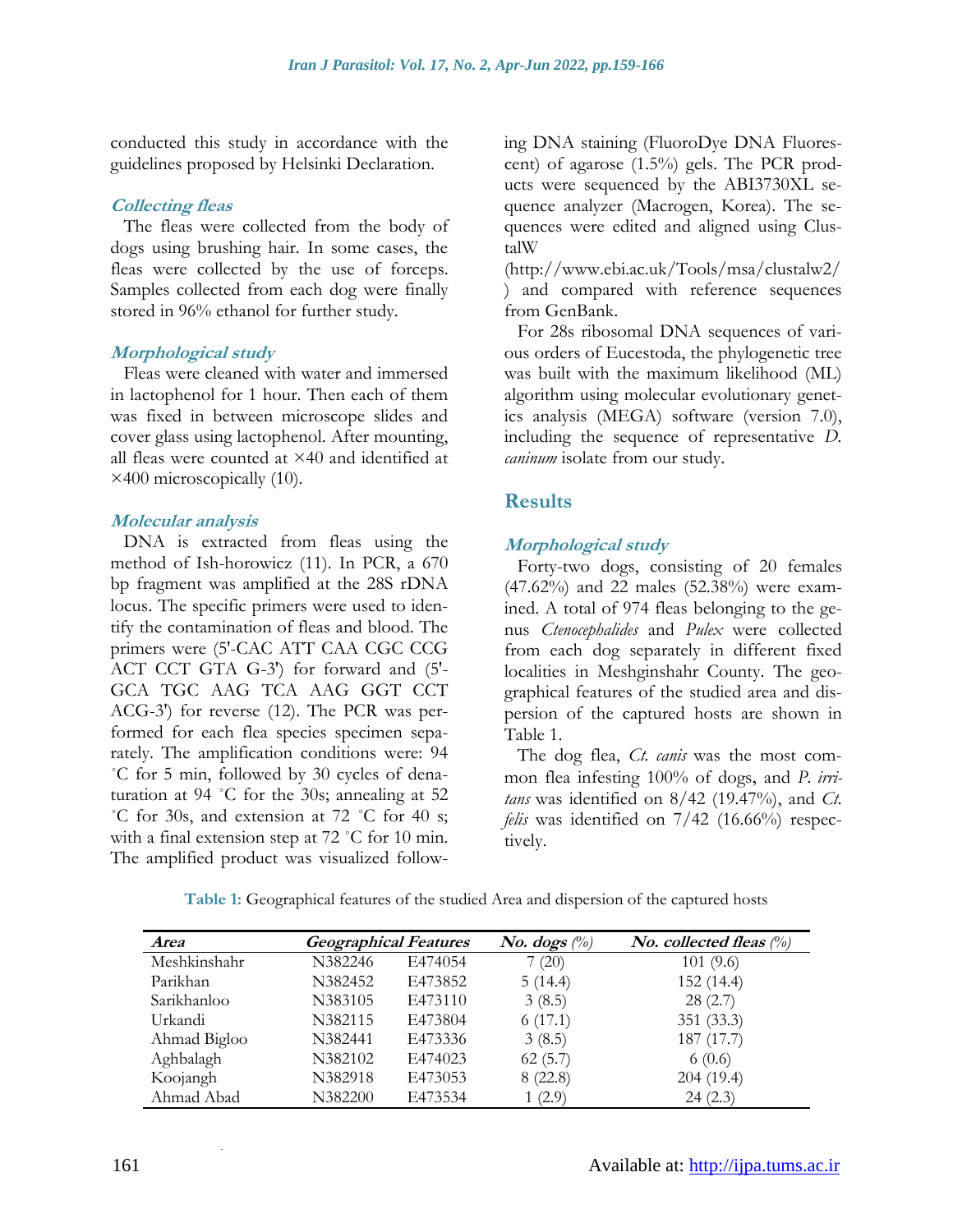conducted this study in accordance with the guidelines proposed by Helsinki Declaration.

#### **Collecting fleas**

The fleas were collected from the body of dogs using brushing hair. In some cases, the fleas were collected by the use of forceps. Samples collected from each dog were finally stored in 96% ethanol for further study.

#### **Morphological study**

Fleas were cleaned with water and immersed in lactophenol for 1 hour. Then each of them was fixed in between microscope slides and cover glass using lactophenol. After mounting, all fleas were counted at ×40 and identified at ×400 microscopically (10).

#### **Molecular analysis**

DNA is extracted from fleas using the method of Ish-horowicz (11). In PCR, a 670 bp fragment was amplified at the 28S rDNA locus. The specific primers were used to identify the contamination of fleas and blood. The primers were (5'-CAC ATT CAA CGC CCG ACT CCT GTA G-3') for forward and (5'- GCA TGC AAG TCA AAG GGT CCT ACG-3') for reverse (12). The PCR was performed for each flea species specimen separately. The amplification conditions were: 94 ˚C for 5 min, followed by 30 cycles of denaturation at 94 ˚C for the 30s; annealing at 52 ˚C for 30s, and extension at 72 ˚C for 40 s; with a final extension step at 72 °C for 10 min. The amplified product was visualized following DNA staining (FluoroDye DNA Fluorescent) of agarose  $(1.5\%)$  gels. The PCR products were sequenced by the ABI3730XL sequence analyzer (Macrogen, Korea). The sequences were edited and aligned using ClustalW

[\(http://www.ebi.ac.uk/Tools/msa/clustalw2/](http://www.ebi.ac.uk/Tools/msa/clustalw2/) ) and compared with reference sequences from GenBank.

For 28s ribosomal DNA sequences of various orders of Eucestoda, the phylogenetic tree was built with the maximum likelihood (ML) algorithm using molecular evolutionary genetics analysis (MEGA) software (version 7.0), including the sequence of representative *D. caninum* isolate from our study.

### **Results**

#### **Morphological study**

Forty-two dogs, consisting of 20 females (47.62%) and 22 males (52.38%) were examined. A total of 974 fleas belonging to the genus *Ctenocephalides* and *Pulex* were collected from each dog separately in different fixed localities in Meshginshahr County. The geographical features of the studied area and dispersion of the captured hosts are shown in Table 1.

The dog flea, *Ct. canis* was the most common flea infesting 100% of dogs, and *P. irritans* was identified on 8/42 (19.47%), and *Ct. felis* was identified on 7/42 (16.66%) respectively.

| <b>Area</b>  | <b>Geographical Features</b> |         | <i>No.</i> dogs $\binom{0}{0}$ | <i>No.</i> collected fleas $\binom{0}{0}$ |
|--------------|------------------------------|---------|--------------------------------|-------------------------------------------|
| Meshkinshahr | N382246                      | E474054 | 7(20)                          | 101(9.6)                                  |
| Parikhan     | N382452                      | E473852 | 5(14.4)                        | 152 (14.4)                                |
| Sarikhanloo  | N383105                      | E473110 | 3(8.5)                         | 28(2.7)                                   |
| Urkandi      | N382115                      | E473804 | 6(17.1)                        | 351 (33.3)                                |
| Ahmad Bigloo | N382441                      | E473336 | 3(8.5)                         | 187 (17.7)                                |
| Aghbalagh    | N382102                      | E474023 | 62(5.7)                        | 6(0.6)                                    |
| Koojangh     | N382918                      | E473053 | 8(22.8)                        | 204(19.4)                                 |
| Ahmad Abad   | N382200                      | E473534 | 1(2.9)                         | 24(2.3)                                   |

**Table 1:** Geographical features of the studied Area and dispersion of the captured hosts

.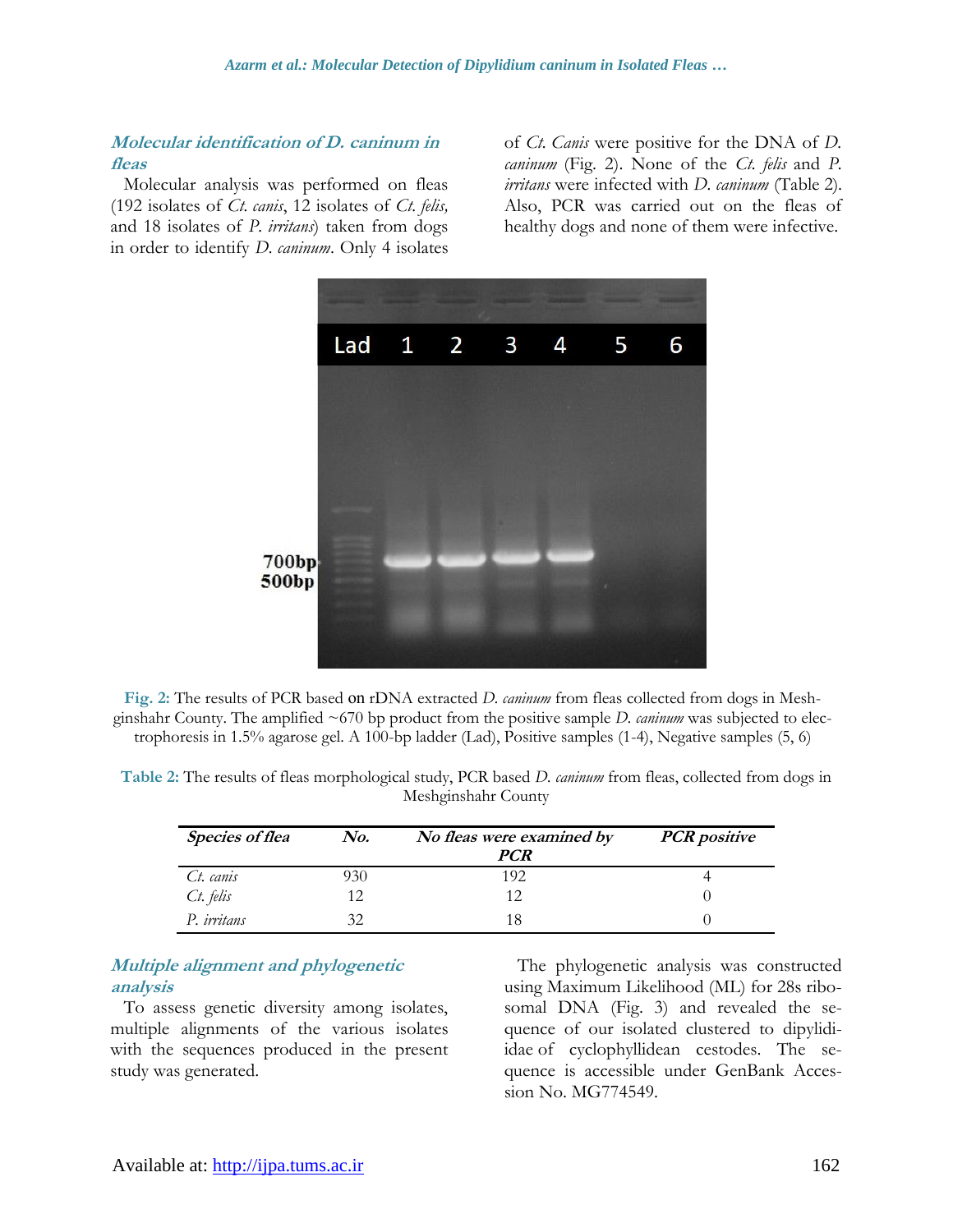#### **Molecular identification of D. caninum in fleas**

Molecular analysis was performed on fleas (192 isolates of *Ct. canis*, 12 isolates of *Ct. felis,* and 18 isolates of *P. irritans*) taken from dogs in order to identify *D. caninum*. Only 4 isolates of *Ct. Canis* were positive for the DNA of *D. caninum* (Fig. 2). None of the *Ct. felis* and *P. irritans* were infected with *D. caninum* (Table 2). Also, PCR was carried out on the fleas of healthy dogs and none of them were infective.



**Fig. 2:** The results of PCR based no rDNA extracted *D. caninum* from fleas collected from dogs in Meshginshahr County. The amplified ~670 bp product from the positive sample *D. caninum* was subjected to electrophoresis in 1.5% agarose gel. A 100-bp ladder (Lad), Positive samples (1-4), Negative samples (5, 6)

| Table 2: The results of fleas morphological study, PCR based <i>D. cannum</i> from fleas, collected from dogs in |  |
|------------------------------------------------------------------------------------------------------------------|--|
| Meshginshahr County                                                                                              |  |

| <b>Species of flea</b> | No. | No fleas were examined by<br>PCR | <b>PCR</b> positive |
|------------------------|-----|----------------------------------|---------------------|
| Ct. canis              | )30 | 192                              |                     |
| Ct. felis              | 12  | 12                               |                     |
| P. irritans            | 32  | 18                               |                     |

#### **Multiple alignment and phylogenetic analysis**

To assess genetic diversity among isolates, multiple alignments of the various isolates with the sequences produced in the present study was generated.

The phylogenetic analysis was constructed using Maximum Likelihood (ML) for 28s ribosomal DNA (Fig. 3) and revealed the sequence of our isolated clustered to [dipylidi](https://www.ncbi.nlm.nih.gov/Taxonomy/Browser/wwwtax.cgi?mode=Tree&id=109303&lvl=3&lin=f&keep=1&srchmode=1&unlock)[idae](https://www.ncbi.nlm.nih.gov/Taxonomy/Browser/wwwtax.cgi?mode=Tree&id=109303&lvl=3&lin=f&keep=1&srchmode=1&unlock) of cyclophyllidean cestodes. The sequence is accessible under GenBank Accession No. MG774549.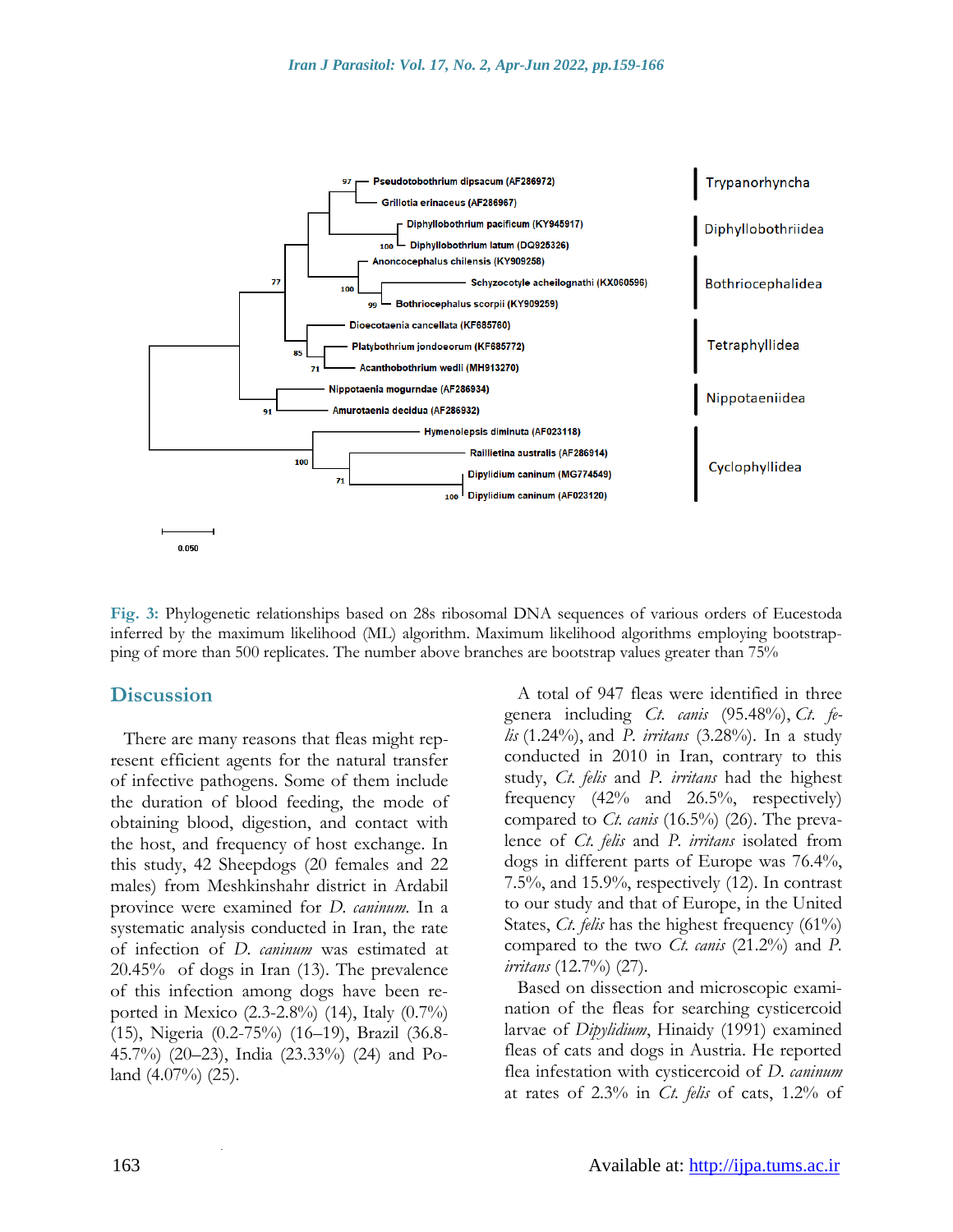

**Fig. 3:** Phylogenetic relationships based on 28s ribosomal DNA sequences of various orders of Eucestoda inferred by the maximum likelihood (ML) algorithm. Maximum likelihood algorithms employing bootstrapping of more than 500 replicates. The number above branches are bootstrap values greater than 75%

#### **Discussion**

There are many reasons that fleas might represent efficient agents for the natural transfer of infective pathogens. Some of them include the duration of blood feeding, the mode of obtaining blood, digestion, and contact with the host, and frequency of host exchange. In this study, 42 Sheepdogs (20 females and 22 males) from Meshkinshahr district in Ardabil province were examined for *D. caninum*. In a systematic analysis conducted in Iran, the rate of infection of *D. caninum* was estimated at 20.45% of dogs in Iran (13). The prevalence of this infection among dogs have been reported in Mexico (2.3-2.8%) (14), Italy (0.7%) (15), Nigeria (0.2-75%) (16–19), Brazil (36.8- 45.7%) (20–23), India (23.33%) (24) and Poland  $(4.07\%)$   $(25)$ .

A total of 947 fleas were identified in three genera including *Ct. canis* (95.48%), *Ct. felis* (1.24%), and *P. irritans* (3.28%). In a study conducted in 2010 in Iran, contrary to this study, *Ct. felis* and *P. irritans* had the highest frequency (42% and 26.5%, respectively) compared to *Ct. canis* (16.5%) (26). The prevalence of *Ct. felis* and *P. irritans* isolated from dogs in different parts of Europe was 76.4%, 7.5%, and 15.9%, respectively (12). In contrast to our study and that of Europe, in the United States, *Ct. felis* has the highest frequency (61%) compared to the two *Ct. canis* (21.2%) and *P. irritans* (12.7%) (27).

Based on dissection and microscopic examination of the fleas for searching cysticercoid larvae of *Dipylidium*, Hinaidy (1991) examined fleas of cats and dogs in Austria. He reported flea infestation with cysticercoid of *D. caninum*  at rates of 2.3% in *Ct. felis* of cats, 1.2% of

.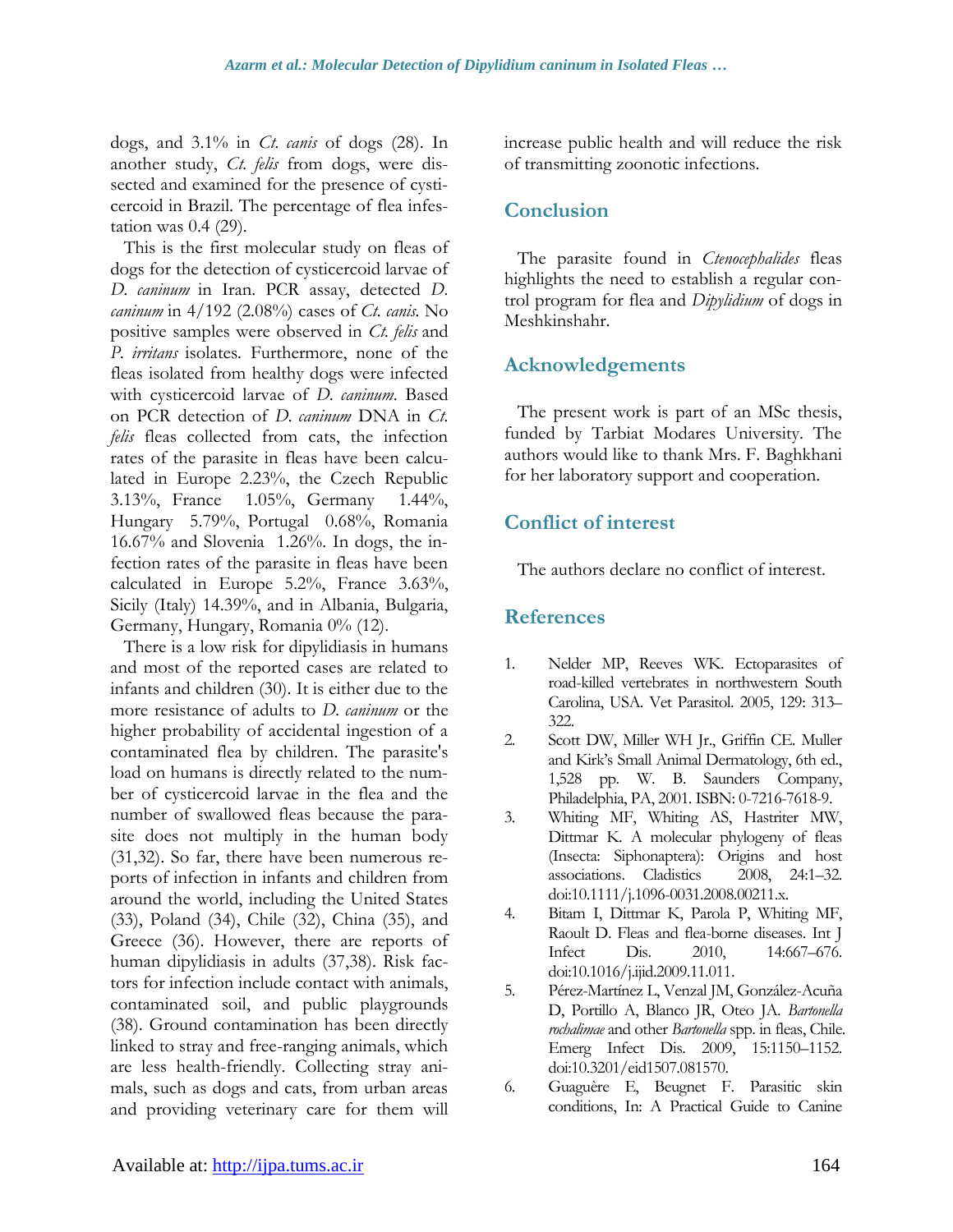dogs, and 3.1% in *Ct. canis* of dogs (28). In another study, *Ct. felis* from dogs, were dissected and examined for the presence of cysticercoid in Brazil. The percentage of flea infestation was 0.4 (29).

This is the first molecular study on fleas of dogs for the detection of cysticercoid larvae of *D. caninum* in Iran. PCR assay, detected *D. caninum* in 4/192 (2.08%) cases of *Ct. canis.* No positive samples were observed in *Ct. felis* and *P. irritans* isolates*.* Furthermore, none of the fleas isolated from healthy dogs were infected with cysticercoid larvae of *D. caninum*. Based on PCR detection of *D. caninum* DNA in *Ct. felis* fleas collected from cats, the infection rates of the parasite in fleas have been calculated in Europe 2.23%, the Czech Republic 3.13%, France 1.05%, Germany 1.44%, Hungary 5.79%, Portugal 0.68%, Romania 16.67% and Slovenia 1.26%. In dogs, the infection rates of the parasite in fleas have been calculated in Europe 5.2%, France 3.63%, Sicily (Italy) 14.39%, and in Albania, Bulgaria, Germany, Hungary, Romania 0% (12).

There is a low risk for dipylidiasis in humans and most of the reported cases are related to infants and children (30). It is either due to the more resistance of adults to *D. caninum* or the higher probability of accidental ingestion of a contaminated flea by children. The parasite's load on humans is directly related to the number of cysticercoid larvae in the flea and the number of swallowed fleas because the parasite does not multiply in the human body (31,32). So far, there have been numerous reports of infection in infants and children from around the world, including the United States (33), Poland (34), Chile (32), China (35), and Greece (36). However, there are reports of human dipylidiasis in adults (37,38). Risk factors for infection include contact with animals, contaminated soil, and public playgrounds (38). Ground contamination has been directly linked to stray and free-ranging animals, which are less health-friendly. Collecting stray animals, such as dogs and cats, from urban areas and providing veterinary care for them will increase public health and will reduce the risk of transmitting zoonotic infections.

### **Conclusion**

The parasite found in *Ctenocephalides* fleas highlights the need to establish a regular control program for flea and *Dipylidium* of dogs in Meshkinshahr.

### **Acknowledgements**

The present work is part of an MSc thesis, funded by Tarbiat Modares University. The authors would like to thank Mrs. F. Baghkhani for her laboratory support and cooperation.

### **Conflict of interest**

The authors declare no conflict of interest.

### **References**

- 1. Nelder MP, Reeves WK. Ectoparasites of road-killed vertebrates in northwestern South Carolina, USA. Vet Parasitol. 2005, 129: 313– 322.
- 2. Scott DW, Miller WH Jr., Griffin CE. Muller and Kirk's Small Animal Dermatology, 6th ed., 1,528 pp. W. B. Saunders Company, Philadelphia, PA, 2001. ISBN: 0-7216-7618-9.
- 3. Whiting MF, Whiting AS, Hastriter MW, Dittmar K. A molecular phylogeny of fleas (Insecta: Siphonaptera): Origins and host associations. Cladistics 2008, 24:1–32. doi:10.1111/j.1096-0031.2008.00211.x.
- 4. Bitam I, Dittmar K, Parola P, Whiting MF, Raoult D. Fleas and flea-borne diseases. Int J Infect Dis. 2010, 14:667–676. doi:10.1016/j.ijid.2009.11.011.
- 5. Pérez-Martínez L, Venzal JM, González-Acuña D, Portillo A, Blanco JR, Oteo JA. *Bartonella rochalimae* and other *Bartonella* spp. in fleas, Chile. Emerg Infect Dis. 2009, 15:1150–1152. doi:10.3201/eid1507.081570.
- 6. Guaguère E, Beugnet F. Parasitic skin conditions, In: A Practical Guide to Canine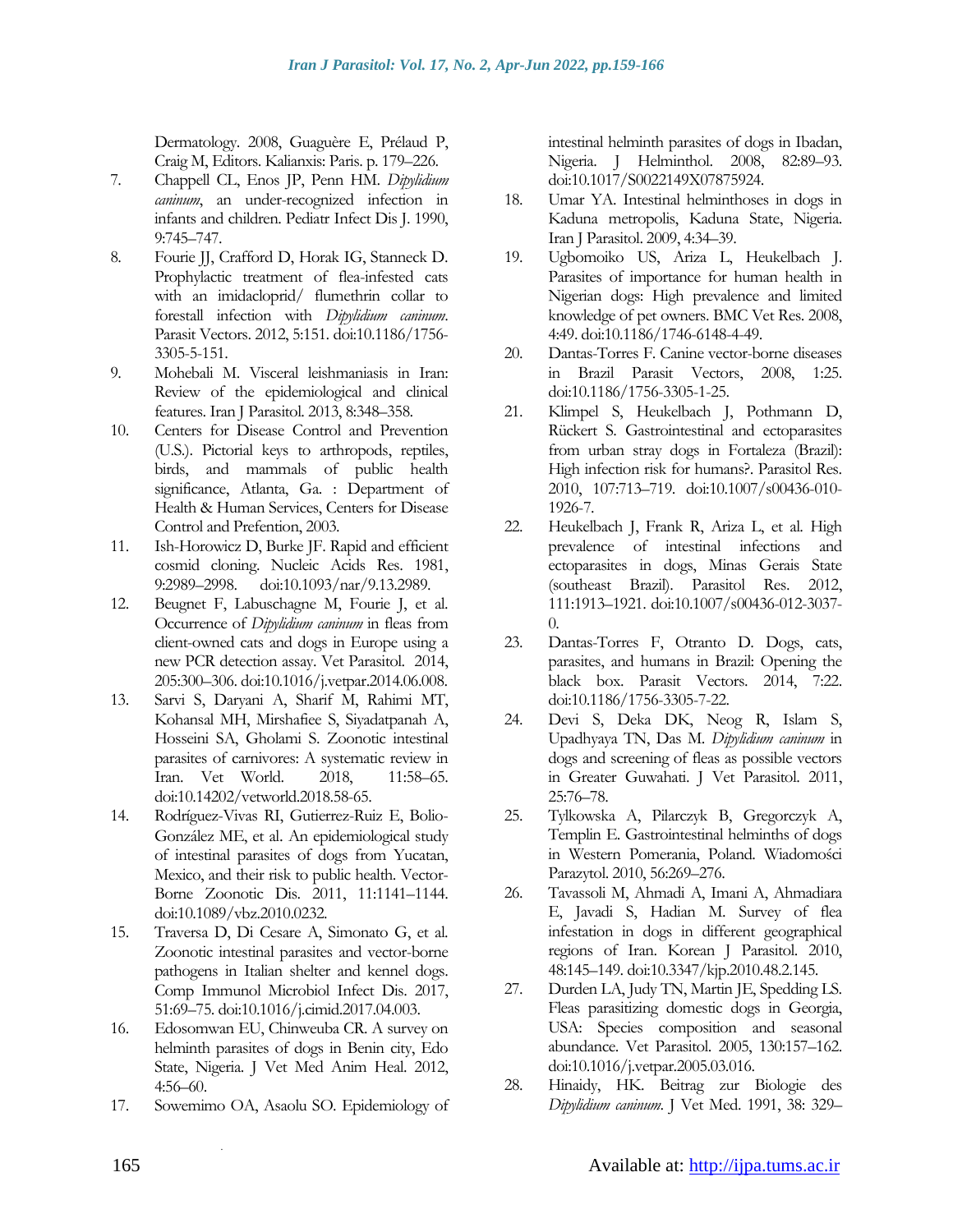Dermatology. 2008, Guaguère E, Prélaud P, Craig M, Editors. Kalianxis: Paris. p. 179–226.

- 7. Chappell CL, Enos JP, Penn HM. *Dipylidium caninum*, an under-recognized infection in infants and children. Pediatr Infect Dis J. 1990, 9:745–747.
- 8. Fourie JJ, Crafford D, Horak IG, Stanneck D. Prophylactic treatment of flea-infested cats with an imidacloprid/ flumethrin collar to forestall infection with *Dipylidium caninum*. Parasit Vectors. 2012, 5:151. doi:10.1186/1756- 3305-5-151.
- 9. Mohebali M. Visceral leishmaniasis in Iran: Review of the epidemiological and clinical features. Iran J Parasitol. 2013, 8:348–358.
- 10. Centers for Disease Control and Prevention (U.S.). Pictorial keys to arthropods, reptiles, birds, and mammals of public health significance, Atlanta, Ga. : Department of Health & Human Services, Centers for Disease Control and Prefention, 2003.
- 11. Ish-Horowicz D, Burke JF. Rapid and efficient cosmid cloning. Nucleic Acids Res. 1981, 9:2989–2998. doi:10.1093/nar/9.13.2989.
- 12. Beugnet F, Labuschagne M, Fourie J, et al. Occurrence of *Dipylidium caninum* in fleas from client-owned cats and dogs in Europe using a new PCR detection assay. Vet Parasitol. 2014, 205:300–306. doi:10.1016/j.vetpar.2014.06.008.
- 13. Sarvi S, Daryani A, Sharif M, Rahimi MT, Kohansal MH, Mirshafiee S, Siyadatpanah A, Hosseini SA, Gholami S. Zoonotic intestinal parasites of carnivores: A systematic review in Iran. Vet World. 2018, 11:58–65. doi:10.14202/vetworld.2018.58-65.
- 14. Rodríguez-Vivas RI, Gutierrez-Ruiz E, Bolio-González ME, et al. An epidemiological study of intestinal parasites of dogs from Yucatan, Mexico, and their risk to public health. Vector-Borne Zoonotic Dis. 2011, 11:1141–1144. doi:10.1089/vbz.2010.0232.
- 15. Traversa D, Di Cesare A, Simonato G, et al. Zoonotic intestinal parasites and vector-borne pathogens in Italian shelter and kennel dogs. Comp Immunol Microbiol Infect Dis. 2017, 51:69–75. doi:10.1016/j.cimid.2017.04.003.
- 16. Edosomwan EU, Chinweuba CR. A survey on helminth parasites of dogs in Benin city, Edo State, Nigeria. J Vet Med Anim Heal. 2012, 4:56–60.
- 17. Sowemimo OA, Asaolu SO. Epidemiology of

.

intestinal helminth parasites of dogs in Ibadan, Nigeria. J Helminthol. 2008, 82:89–93. doi:10.1017/S0022149X07875924.

- 18. Umar YA. Intestinal helminthoses in dogs in Kaduna metropolis, Kaduna State, Nigeria. Iran J Parasitol. 2009, 4:34–39.
- 19. Ugbomoiko US, Ariza L, Heukelbach J. Parasites of importance for human health in Nigerian dogs: High prevalence and limited knowledge of pet owners. BMC Vet Res. 2008, 4:49. doi:10.1186/1746-6148-4-49.
- 20. Dantas-Torres F. Canine vector-borne diseases in Brazil Parasit Vectors, 2008, 1:25. doi:10.1186/1756-3305-1-25.
- 21. Klimpel S, Heukelbach J, Pothmann D, Rückert S. Gastrointestinal and ectoparasites from urban stray dogs in Fortaleza (Brazil): High infection risk for humans?. Parasitol Res. 2010, 107:713–719. doi:10.1007/s00436-010- 1926-7.
- 22. Heukelbach J, Frank R, Ariza L, et al. High prevalence of intestinal infections and ectoparasites in dogs, Minas Gerais State (southeast Brazil). Parasitol Res. 2012, 111:1913–1921. doi:10.1007/s00436-012-3037- 0.
- 23. Dantas-Torres F, Otranto D. Dogs, cats, parasites, and humans in Brazil: Opening the black box. Parasit Vectors. 2014, 7:22. doi:10.1186/1756-3305-7-22.
- 24. Devi S, Deka DK, Neog R, Islam S, Upadhyaya TN, Das M. *Dipylidium caninum* in dogs and screening of fleas as possible vectors in Greater Guwahati. J Vet Parasitol. 2011, 25:76–78.
- 25. Tylkowska A, Pilarczyk B, Gregorczyk A, Templin E. Gastrointestinal helminths of dogs in Western Pomerania, Poland. Wiadomości Parazytol. 2010, 56:269-276.
- 26. Tavassoli M, Ahmadi A, Imani A, Ahmadiara E, Javadi S, Hadian M. Survey of flea infestation in dogs in different geographical regions of Iran. Korean J Parasitol. 2010, 48:145–149. doi:10.3347/kjp.2010.48.2.145.
- 27. Durden LA, Judy TN, Martin JE, Spedding LS. Fleas parasitizing domestic dogs in Georgia, USA: Species composition and seasonal abundance. Vet Parasitol. 2005, 130:157–162. doi:10.1016/j.vetpar.2005.03.016.
- 28. Hinaidy, HK. Beitrag zur Biologie des *Dipylidium caninum*. J Vet Med. 1991, 38: 329–